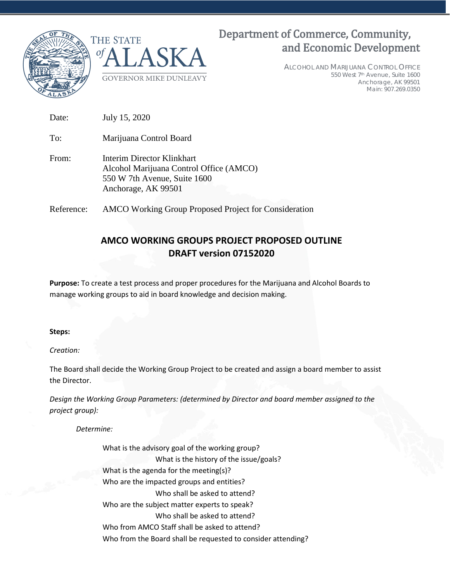



# Department of Commerce, Community, and Economic Development

ALCOHOL AND MARIJUANA CONTROL OFFICE 550 West 7th Avenue, Suite 1600 Anchorage, AK 99501 Main: 907.269.0350

Date: July 15, 2020 To: Marijuana Control Board From: Interim Director Klinkhart Alcohol Marijuana Control Office (AMCO) 550 W 7th Avenue, Suite 1600 Anchorage, AK 99501

Reference: AMCO Working Group Proposed Project for Consideration

# **AMCO WORKING GROUPS PROJECT PROPOSED OUTLINE DRAFT version 07152020**

**Purpose:** To create a test process and proper procedures for the Marijuana and Alcohol Boards to manage working groups to aid in board knowledge and decision making.

# **Steps:**

*Creation:*

The Board shall decide the Working Group Project to be created and assign a board member to assist the Director.

*Design the Working Group Parameters: (determined by Director and board member assigned to the project group):*

*Determine:*

What is the advisory goal of the working group? What is the history of the issue/goals? What is the agenda for the meeting(s)? Who are the impacted groups and entities? Who shall be asked to attend? Who are the subject matter experts to speak? Who shall be asked to attend? Who from AMCO Staff shall be asked to attend? Who from the Board shall be requested to consider attending?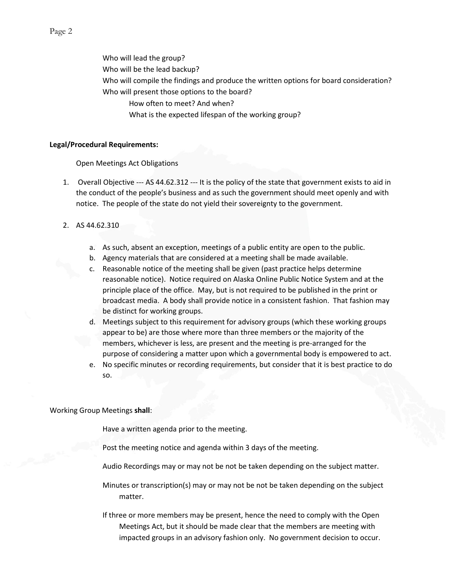Who will lead the group? Who will be the lead backup? Who will compile the findings and produce the written options for board consideration? Who will present those options to the board? How often to meet? And when? What is the expected lifespan of the working group?

#### **Legal/Procedural Requirements:**

Open Meetings Act Obligations

- 1. Overall Objective --- AS 44.62.312 --- It is the policy of the state that government exists to aid in the conduct of the people's business and as such the government should meet openly and with notice. The people of the state do not yield their sovereignty to the government.
- 2. AS 44.62.310
	- a. As such, absent an exception, meetings of a public entity are open to the public.
	- b. Agency materials that are considered at a meeting shall be made available.
	- c. Reasonable notice of the meeting shall be given (past practice helps determine reasonable notice). Notice required on Alaska Online Public Notice System and at the principle place of the office. May, but is not required to be published in the print or broadcast media. A body shall provide notice in a consistent fashion. That fashion may be distinct for working groups.
	- d. Meetings subject to this requirement for advisory groups (which these working groups appear to be) are those where more than three members or the majority of the members, whichever is less, are present and the meeting is pre-arranged for the purpose of considering a matter upon which a governmental body is empowered to act.
	- e. No specific minutes or recording requirements, but consider that it is best practice to do so.

#### Working Group Meetings **shall**:

Have a written agenda prior to the meeting.

Post the meeting notice and agenda within 3 days of the meeting.

Audio Recordings may or may not be not be taken depending on the subject matter.

Minutes or transcription(s) may or may not be not be taken depending on the subject matter.

If three or more members may be present, hence the need to comply with the Open Meetings Act, but it should be made clear that the members are meeting with impacted groups in an advisory fashion only. No government decision to occur.